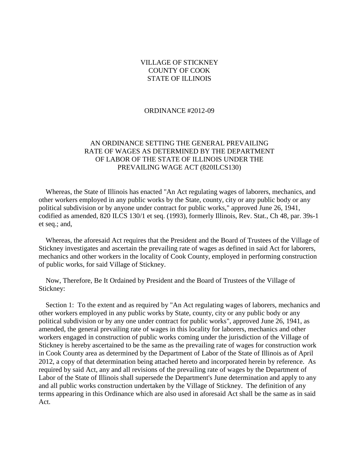### VILLAGE OF STICKNEY COUNTY OF COOK STATE OF ILLINOIS

#### ORDINANCE #2012-09

## AN ORDINANCE SETTING THE GENERAL PREVAILING RATE OF WAGES AS DETERMINED BY THE DEPARTMENT OF LABOR OF THE STATE OF ILLINOIS UNDER THE PREVAILING WAGE ACT (820ILCS130)

 Whereas, the State of Illinois has enacted "An Act regulating wages of laborers, mechanics, and other workers employed in any public works by the State, county, city or any public body or any political subdivision or by anyone under contract for public works," approved June 26, 1941, codified as amended, 820 ILCS 130/1 et seq. (1993), formerly Illinois, Rev. Stat., Ch 48, par. 39s-1 et seq.; and,

 Whereas, the aforesaid Act requires that the President and the Board of Trustees of the Village of Stickney investigates and ascertain the prevailing rate of wages as defined in said Act for laborers, mechanics and other workers in the locality of Cook County, employed in performing construction of public works, for said Village of Stickney.

 Now, Therefore, Be It Ordained by President and the Board of Trustees of the Village of Stickney:

 Section 1: To the extent and as required by "An Act regulating wages of laborers, mechanics and other workers employed in any public works by State, county, city or any public body or any political subdivision or by any one under contract for public works", approved June 26, 1941, as amended, the general prevailing rate of wages in this locality for laborers, mechanics and other workers engaged in construction of public works coming under the jurisdiction of the Village of Stickney is hereby ascertained to be the same as the prevailing rate of wages for construction work in Cook County area as determined by the Department of Labor of the State of Illinois as of April 2012, a copy of that determination being attached hereto and incorporated herein by reference. As required by said Act, any and all revisions of the prevailing rate of wages by the Department of Labor of the State of Illinois shall supersede the Department's June determination and apply to any and all public works construction undertaken by the Village of Stickney. The definition of any terms appearing in this Ordinance which are also used in aforesaid Act shall be the same as in said Act.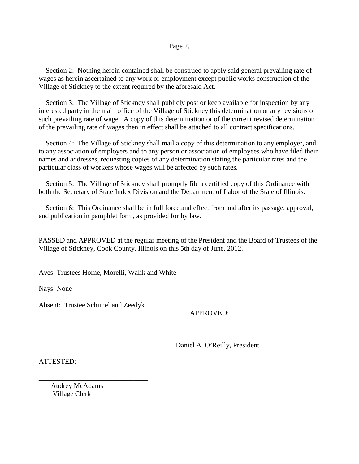#### Page 2.

 Section 2: Nothing herein contained shall be construed to apply said general prevailing rate of wages as herein ascertained to any work or employment except public works construction of the Village of Stickney to the extent required by the aforesaid Act.

 Section 3: The Village of Stickney shall publicly post or keep available for inspection by any interested party in the main office of the Village of Stickney this determination or any revisions of such prevailing rate of wage. A copy of this determination or of the current revised determination of the prevailing rate of wages then in effect shall be attached to all contract specifications.

 Section 4: The Village of Stickney shall mail a copy of this determination to any employer, and to any association of employers and to any person or association of employees who have filed their names and addresses, requesting copies of any determination stating the particular rates and the particular class of workers whose wages will be affected by such rates.

Section 5: The Village of Stickney shall promptly file a certified copy of this Ordinance with both the Secretary of State Index Division and the Department of Labor of the State of Illinois.

 Section 6: This Ordinance shall be in full force and effect from and after its passage, approval, and publication in pamphlet form, as provided for by law.

PASSED and APPROVED at the regular meeting of the President and the Board of Trustees of the Village of Stickney, Cook County, Illinois on this 5th day of June, 2012.

 $\frac{1}{2}$  , and the set of the set of the set of the set of the set of the set of the set of the set of the set of the set of the set of the set of the set of the set of the set of the set of the set of the set of the set

Ayes: Trustees Horne, Morelli, Walik and White

Nays: None

Absent: Trustee Schimel and Zeedyk

\_\_\_\_\_\_\_\_\_\_\_\_\_\_\_\_\_\_\_\_\_\_\_\_\_\_\_\_\_\_\_

APPROVED:

Daniel A. O'Reilly, President

ATTESTED:

 Audrey McAdams Village Clerk